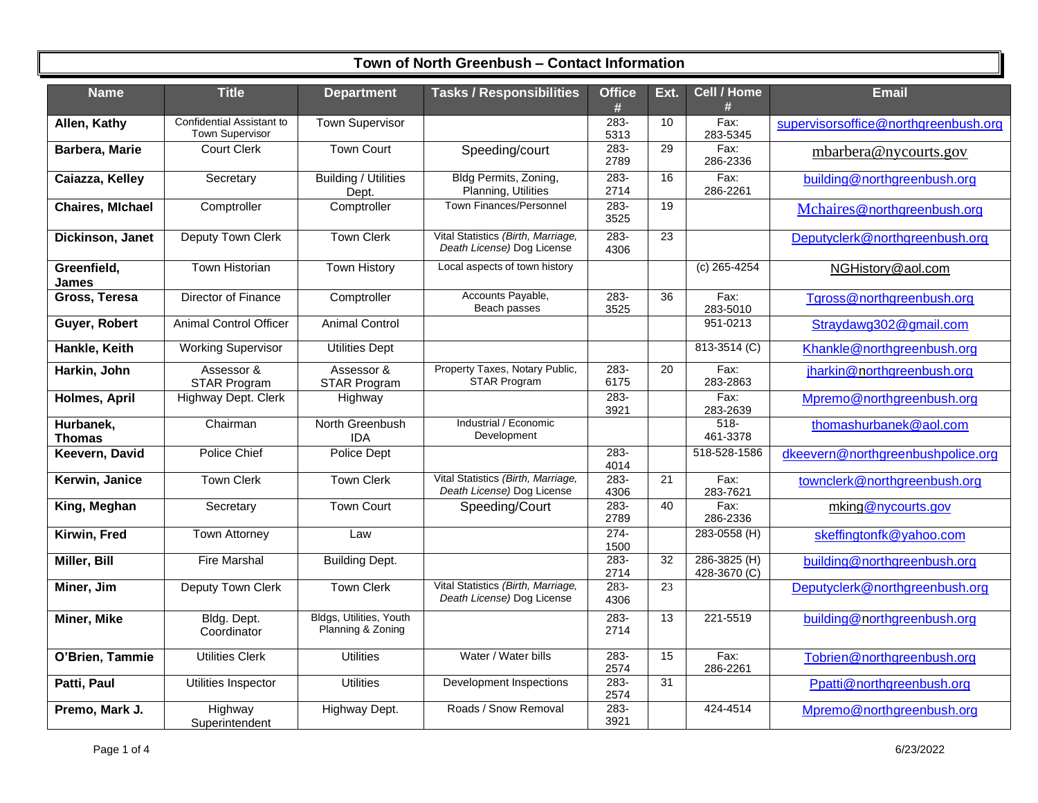| <b>Name</b>                | <b>Title</b>                                        | <b>Department</b>                            | <b>Tasks / Responsibilities</b>                                  | <b>Office</b><br># | Ext.            | Cell / Home<br>#             | <b>Email</b>                         |
|----------------------------|-----------------------------------------------------|----------------------------------------------|------------------------------------------------------------------|--------------------|-----------------|------------------------------|--------------------------------------|
| Allen, Kathy               | Confidential Assistant to<br><b>Town Supervisor</b> | <b>Town Supervisor</b>                       |                                                                  | $283 -$<br>5313    | 10              | Fax:<br>283-5345             | supervisorsoffice@northgreenbush.org |
| Barbera, Marie             | <b>Court Clerk</b>                                  | <b>Town Court</b>                            | Speeding/court                                                   | $283 -$<br>2789    | 29              | Fax:<br>286-2336             | mbarbera@nycourts.gov                |
| Caiazza, Kelley            | Secretary                                           | <b>Building / Utilities</b><br>Dept.         | Bldg Permits, Zoning,<br>Planning, Utilities                     | $283 -$<br>2714    | 16              | Fax:<br>286-2261             | building@northgreenbush.org          |
| <b>Chaires, Michael</b>    | Comptroller                                         | Comptroller                                  | <b>Town Finances/Personnel</b>                                   | $283 -$<br>3525    | 19              |                              | Mchaires@northgreenbush.org          |
| Dickinson, Janet           | Deputy Town Clerk                                   | <b>Town Clerk</b>                            | Vital Statistics (Birth, Marriage,<br>Death License) Dog License | 283-<br>4306       | 23              |                              | Deputyclerk@northgreenbush.org       |
| Greenfield,<br>James       | Town Historian                                      | <b>Town History</b>                          | Local aspects of town history                                    |                    |                 | (c) 265-4254                 | NGHistory@aol.com                    |
| Gross, Teresa              | Director of Finance                                 | Comptroller                                  | Accounts Payable,<br>Beach passes                                | $283 -$<br>3525    | 36              | Fax:<br>283-5010             | Tgross@northgreenbush.org            |
| Guyer, Robert              | <b>Animal Control Officer</b>                       | <b>Animal Control</b>                        |                                                                  |                    |                 | 951-0213                     | Straydawg302@gmail.com               |
| Hankle, Keith              | <b>Working Supervisor</b>                           | <b>Utilities Dept</b>                        |                                                                  |                    |                 | 813-3514 (C)                 | Khankle@northgreenbush.org           |
| Harkin, John               | Assessor &<br>STAR Program                          | Assessor &<br><b>STAR Program</b>            | Property Taxes, Notary Public,<br><b>STAR Program</b>            | 283-<br>6175       | 20              | Fax:<br>283-2863             | jharkin@northgreenbush.org           |
| <b>Holmes, April</b>       | Highway Dept. Clerk                                 | Highway                                      |                                                                  | 283-<br>3921       |                 | Fax:<br>283-2639             | Mpremo@northgreenbush.org            |
| Hurbanek,<br><b>Thomas</b> | Chairman                                            | North Greenbush<br><b>IDA</b>                | Industrial / Economic<br>Development                             |                    |                 | $518 -$<br>461-3378          | thomashurbanek@aol.com               |
| Keevern, David             | Police Chief                                        | <b>Police Dept</b>                           |                                                                  | 283-<br>4014       |                 | 518-528-1586                 | dkeevern@northgreenbushpolice.org    |
| Kerwin, Janice             | <b>Town Clerk</b>                                   | <b>Town Clerk</b>                            | Vital Statistics (Birth, Marriage,<br>Death License) Dog License | $283 -$<br>4306    | $\overline{21}$ | Fax:<br>283-7621             | townclerk@northgreenbush.org         |
| King, Meghan               | Secretary                                           | <b>Town Court</b>                            | Speeding/Court                                                   | $283 -$<br>2789    | 40              | Fax:<br>286-2336             | mking@nycourts.gov                   |
| Kirwin, Fred               | <b>Town Attorney</b>                                | Law                                          |                                                                  | $274-$<br>1500     |                 | 283-0558 (H)                 | skeffingtonfk@yahoo.com              |
| Miller, Bill               | <b>Fire Marshal</b>                                 | <b>Building Dept.</b>                        |                                                                  | $283 -$<br>2714    | 32              | 286-3825 (H)<br>428-3670 (C) | building@northgreenbush.org          |
| Miner, Jim                 | Deputy Town Clerk                                   | <b>Town Clerk</b>                            | Vital Statistics (Birth, Marriage,<br>Death License) Dog License | $283 -$<br>4306    | $\overline{23}$ |                              | Deputyclerk@northgreenbush.org       |
| Miner, Mike                | Bldg. Dept.<br>Coordinator                          | Bldgs, Utilities, Youth<br>Planning & Zoning |                                                                  | 283-<br>2714       | 13              | 221-5519                     | building@northgreenbush.org          |
| O'Brien, Tammie            | <b>Utilities Clerk</b>                              | <b>Utilities</b>                             | Water / Water bills                                              | 283-<br>2574       | 15              | Fax:<br>286-2261             | Tobrien@northgreenbush.org           |
| Patti, Paul                | Utilities Inspector                                 | <b>Utilities</b>                             | Development Inspections                                          | $283 -$<br>2574    | $\overline{31}$ |                              | Ppatti@northgreenbush.org            |
| Premo, Mark J.             | Highway<br>Superintendent                           | Highway Dept.                                | Roads / Snow Removal                                             | $283 -$<br>3921    |                 | 424-4514                     | Mpremo@northgreenbush.org            |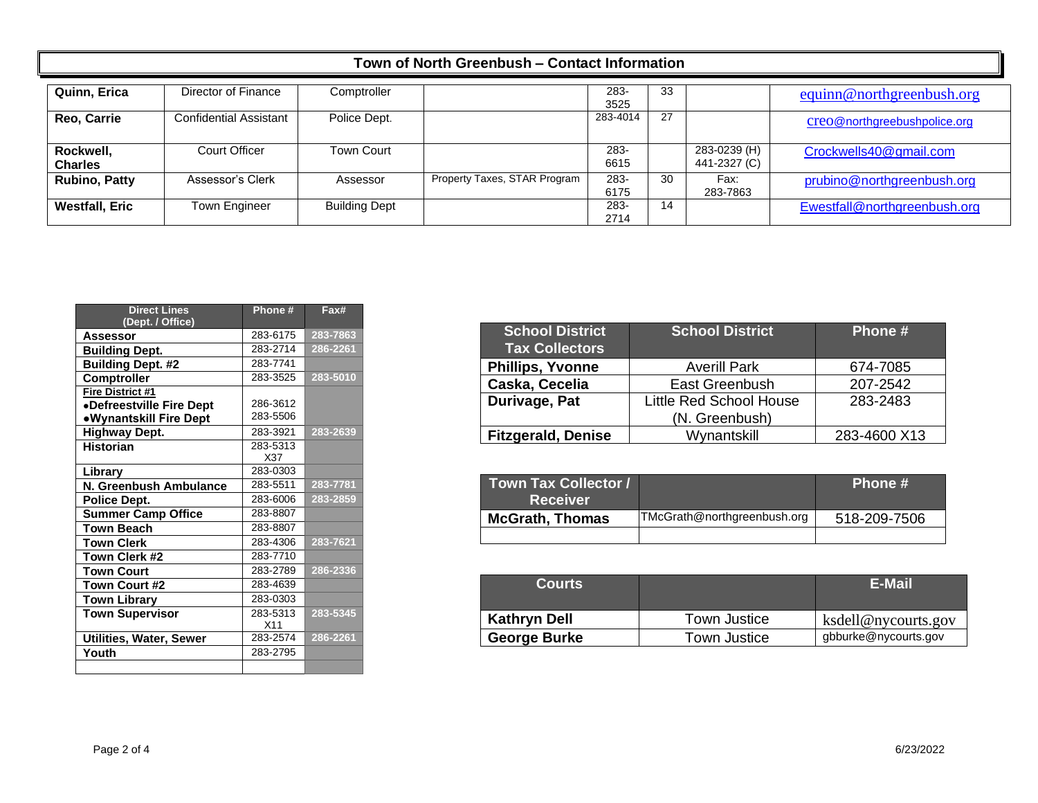| Quinn, Erica                | Director of Finance           | Comptroller          |                              | 283-<br>3525 | 33 |                              | equinn@northgreenbush.org    |
|-----------------------------|-------------------------------|----------------------|------------------------------|--------------|----|------------------------------|------------------------------|
| <b>Reo, Carrie</b>          | <b>Confidential Assistant</b> | Police Dept.         |                              | 283-4014     | 27 |                              | creo@northgreebushpolice.org |
| Rockwell,<br><b>Charles</b> | Court Officer                 | <b>Town Court</b>    |                              | 283-<br>6615 |    | 283-0239 (H)<br>441-2327 (C) | Crockwells40@gmail.com       |
| <b>Rubino, Patty</b>        | Assessor's Clerk              | Assessor             | Property Taxes, STAR Program | 283-<br>6175 | 30 | Fax:<br>283-7863             | prubino@northgreenbush.org   |
| <b>Westfall, Eric</b>       | Town Engineer                 | <b>Building Dept</b> |                              | 283-<br>2714 | 14 |                              | Ewestfall@northgreenbush.org |

| <b>Direct Lines</b><br>(Dept. / Office) | Phone#   | Fax#     |
|-----------------------------------------|----------|----------|
| <b>Assessor</b>                         | 283-6175 | 283-7863 |
| <b>Building Dept.</b>                   | 283-2714 | 286-2261 |
| <b>Building Dept. #2</b>                | 283-7741 |          |
| Comptroller                             | 283-3525 | 283-5010 |
| Fire District #1                        |          |          |
| •Defreestville Fire Dept                | 286-3612 |          |
| •Wynantskill Fire Dept                  | 283-5506 |          |
| <b>Highway Dept.</b>                    | 283-3921 | 283-2639 |
| <b>Historian</b>                        | 283-5313 |          |
|                                         | X37      |          |
| Library                                 | 283-0303 |          |
| N. Greenbush Ambulance                  | 283-5511 | 283-7781 |
| Police Dept.                            | 283-6006 | 283-2859 |
| <b>Summer Camp Office</b>               | 283-8807 |          |
| <b>Town Beach</b>                       | 283-8807 |          |
| <b>Town Clerk</b>                       | 283-4306 | 283-7621 |
| Town Clerk #2                           | 283-7710 |          |
| <b>Town Court</b>                       | 283-2789 | 286-2336 |
| Town Court #2                           | 283-4639 |          |
| <b>Town Library</b>                     | 283-0303 |          |
| <b>Town Supervisor</b>                  | 283-5313 | 283-5345 |
|                                         | X11      |          |
| Utilities, Water, Sewer                 | 283-2574 | 286-2261 |
| Youth                                   | 283-2795 |          |
|                                         |          |          |

| <b>School District</b><br><b>Tax Collectors</b> | <b>School District</b>         | Phone #      |
|-------------------------------------------------|--------------------------------|--------------|
| <b>Phillips, Yvonne</b>                         | <b>Averill Park</b>            | 674-7085     |
| Caska, Cecelia                                  | East Greenbush                 | 207-2542     |
| Durivage, Pat                                   | <b>Little Red School House</b> | 283-2483     |
|                                                 | (N. Greenbush)                 |              |
| <b>Fitzgerald, Denise</b>                       | Wynantskill                    | 283-4600 X13 |

| <b>Town Tax Collector /</b><br><b>Receiver</b> |                             | Phone #      |
|------------------------------------------------|-----------------------------|--------------|
| <b>McGrath, Thomas</b>                         | TMcGrath@northgreenbush.org | 518-209-7506 |
|                                                |                             |              |

| <b>Courts</b>       |              | <b>E-Mail</b>        |
|---------------------|--------------|----------------------|
| <b>Kathryn Dell</b> | Town Justice | ksdell@nycourts.gov  |
| <b>George Burke</b> | Town Justice | gbburke@nycourts.gov |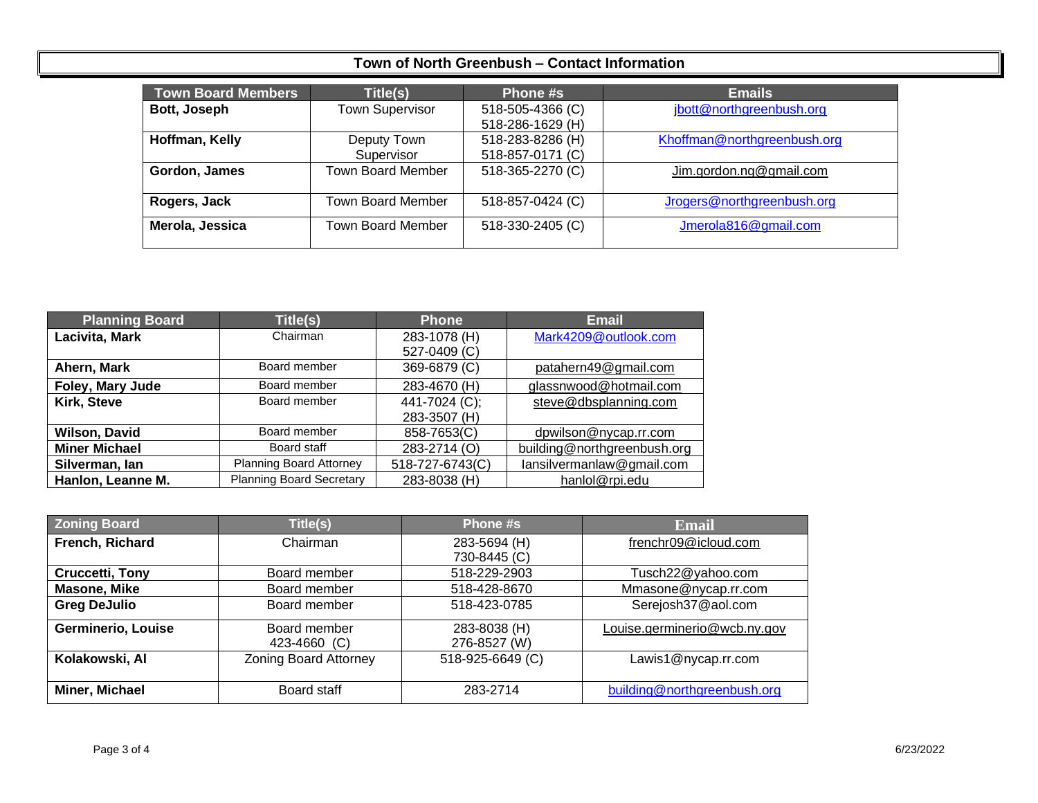| <b>Town Board Members</b> | Title(s)                 | Phone #s         | <b>Emails</b>               |
|---------------------------|--------------------------|------------------|-----------------------------|
| Bott, Joseph              | <b>Town Supervisor</b>   | 518-505-4366 (C) | jbott@northgreenbush.org    |
|                           |                          | 518-286-1629 (H) |                             |
| Hoffman, Kelly            | Deputy Town              | 518-283-8286 (H) | Khoffman@northgreenbush.org |
|                           | Supervisor               | 518-857-0171 (C) |                             |
| Gordon, James             | Town Board Member        | 518-365-2270 (C) | Jim.gordon.ng@gmail.com     |
| Rogers, Jack              | <b>Town Board Member</b> | 518-857-0424 (C) | Jrogers@northgreenbush.org  |
| Merola, Jessica           | <b>Town Board Member</b> | 518-330-2405 (C) | Jmerola816@gmail.com        |

| <b>Planning Board</b> | Title(s)                        | <b>Phone</b>    | <b>Email</b>                |
|-----------------------|---------------------------------|-----------------|-----------------------------|
| Lacivita, Mark        | Chairman                        | 283-1078 (H)    | Mark4209@outlook.com        |
|                       |                                 | 527-0409 (C)    |                             |
| Ahern, Mark           | Board member                    | 369-6879 (C)    | patahern49@gmail.com        |
| Foley, Mary Jude      | Board member                    | 283-4670 (H)    | glassnwood@hotmail.com      |
| Kirk, Steve           | Board member                    | 441-7024 (C);   | steve@dbsplanning.com       |
|                       |                                 | 283-3507 (H)    |                             |
| <b>Wilson, David</b>  | Board member                    | 858-7653(C)     | dpwilson@nycap.rr.com       |
| <b>Miner Michael</b>  | Board staff                     | 283-2714 (O)    | building@northgreenbush.org |
| Silverman, Ian        | Planning Board Attorney         | 518-727-6743(C) | lansilvermanlaw@gmail.com   |
| Hanlon, Leanne M.     | <b>Planning Board Secretary</b> | 283-8038 (H)    | hanlol@rpi.edu              |

| <b>Zoning Board</b>       | Title(s)                     | Phone #s         | <b>Email</b>                 |
|---------------------------|------------------------------|------------------|------------------------------|
| French, Richard           | Chairman                     | 283-5694 (H)     | frenchr09@icloud.com         |
|                           |                              | 730-8445 (C)     |                              |
| <b>Cruccetti, Tony</b>    | Board member                 | 518-229-2903     | Tusch22@yahoo.com            |
| Masone, Mike              | Board member                 | 518-428-8670     | Mmasone@nycap.rr.com         |
| <b>Greg DeJulio</b>       | Board member                 | 518-423-0785     | Serejosh37@aol.com           |
| <b>Germinerio, Louise</b> | Board member                 | 283-8038 (H)     | Louise.germinerio@wcb.ny.gov |
|                           | 423-4660 (C)                 | 276-8527 (W)     |                              |
| Kolakowski, Al            | <b>Zoning Board Attorney</b> | 518-925-6649 (C) | Lawis1@nycap.rr.com          |
|                           |                              |                  |                              |
| Miner, Michael            | Board staff                  | 283-2714         | building@northgreenbush.org  |